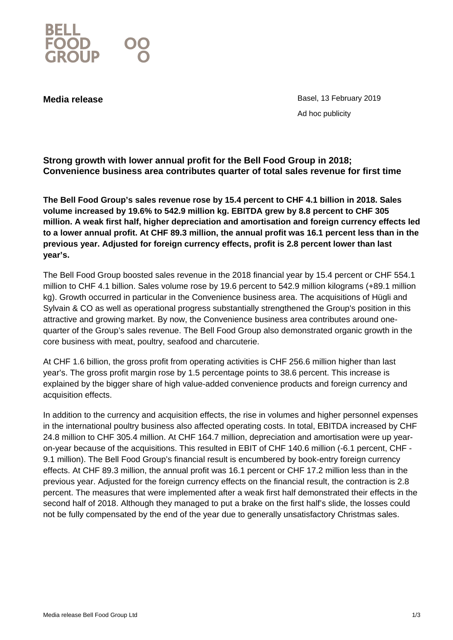

**Media release Basel, 13 February 2019** Ad hoc publicity

**Strong growth with lower annual profit for the Bell Food Group in 2018; Convenience business area contributes quarter of total sales revenue for first time** 

**The Bell Food Group's sales revenue rose by 15.4 percent to CHF 4.1 billion in 2018. Sales volume increased by 19.6% to 542.9 million kg. EBITDA grew by 8.8 percent to CHF 305 million. A weak first half, higher depreciation and amortisation and foreign currency effects led to a lower annual profit. At CHF 89.3 million, the annual profit was 16.1 percent less than in the previous year. Adjusted for foreign currency effects, profit is 2.8 percent lower than last year's.**

The Bell Food Group boosted sales revenue in the 2018 financial year by 15.4 percent or CHF 554.1 million to CHF 4.1 billion. Sales volume rose by 19.6 percent to 542.9 million kilograms (+89.1 million kg). Growth occurred in particular in the Convenience business area. The acquisitions of Hügli and Sylvain & CO as well as operational progress substantially strengthened the Group's position in this attractive and growing market. By now, the Convenience business area contributes around onequarter of the Group's sales revenue. The Bell Food Group also demonstrated organic growth in the core business with meat, poultry, seafood and charcuterie.

At CHF 1.6 billion, the gross profit from operating activities is CHF 256.6 million higher than last year's. The gross profit margin rose by 1.5 percentage points to 38.6 percent. This increase is explained by the bigger share of high value-added convenience products and foreign currency and acquisition effects.

In addition to the currency and acquisition effects, the rise in volumes and higher personnel expenses in the international poultry business also affected operating costs. In total, EBITDA increased by CHF 24.8 million to CHF 305.4 million. At CHF 164.7 million, depreciation and amortisation were up yearon-year because of the acquisitions. This resulted in EBIT of CHF 140.6 million (-6.1 percent, CHF - 9.1 million). The Bell Food Group's financial result is encumbered by book-entry foreign currency effects. At CHF 89.3 million, the annual profit was 16.1 percent or CHF 17.2 million less than in the previous year. Adjusted for the foreign currency effects on the financial result, the contraction is 2.8 percent. The measures that were implemented after a weak first half demonstrated their effects in the second half of 2018. Although they managed to put a brake on the first half's slide, the losses could not be fully compensated by the end of the year due to generally unsatisfactory Christmas sales.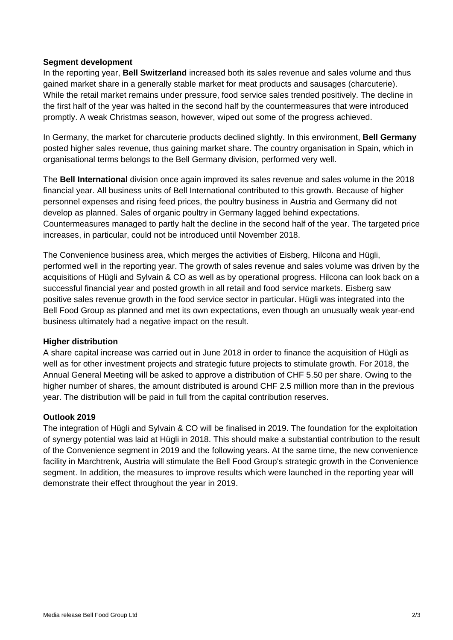## **Segment development**

In the reporting year, **Bell Switzerland** increased both its sales revenue and sales volume and thus gained market share in a generally stable market for meat products and sausages (charcuterie). While the retail market remains under pressure, food service sales trended positively. The decline in the first half of the year was halted in the second half by the countermeasures that were introduced promptly. A weak Christmas season, however, wiped out some of the progress achieved.

In Germany, the market for charcuterie products declined slightly. In this environment, **Bell Germany** posted higher sales revenue, thus gaining market share. The country organisation in Spain, which in organisational terms belongs to the Bell Germany division, performed very well.

The **Bell International** division once again improved its sales revenue and sales volume in the 2018 financial year. All business units of Bell International contributed to this growth. Because of higher personnel expenses and rising feed prices, the poultry business in Austria and Germany did not develop as planned. Sales of organic poultry in Germany lagged behind expectations. Countermeasures managed to partly halt the decline in the second half of the year. The targeted price increases, in particular, could not be introduced until November 2018.

The Convenience business area, which merges the activities of Eisberg, Hilcona and Hügli, performed well in the reporting year. The growth of sales revenue and sales volume was driven by the acquisitions of Hügli and Sylvain & CO as well as by operational progress. Hilcona can look back on a successful financial year and posted growth in all retail and food service markets. Eisberg saw positive sales revenue growth in the food service sector in particular. Hügli was integrated into the Bell Food Group as planned and met its own expectations, even though an unusually weak year-end business ultimately had a negative impact on the result.

## **Higher distribution**

A share capital increase was carried out in June 2018 in order to finance the acquisition of Hügli as well as for other investment projects and strategic future projects to stimulate growth. For 2018, the Annual General Meeting will be asked to approve a distribution of CHF 5.50 per share. Owing to the higher number of shares, the amount distributed is around CHF 2.5 million more than in the previous year. The distribution will be paid in full from the capital contribution reserves.

## **Outlook 2019**

The integration of Hügli and Sylvain & CO will be finalised in 2019. The foundation for the exploitation of synergy potential was laid at Hügli in 2018. This should make a substantial contribution to the result of the Convenience segment in 2019 and the following years. At the same time, the new convenience facility in Marchtrenk, Austria will stimulate the Bell Food Group's strategic growth in the Convenience segment. In addition, the measures to improve results which were launched in the reporting year will demonstrate their effect throughout the year in 2019.